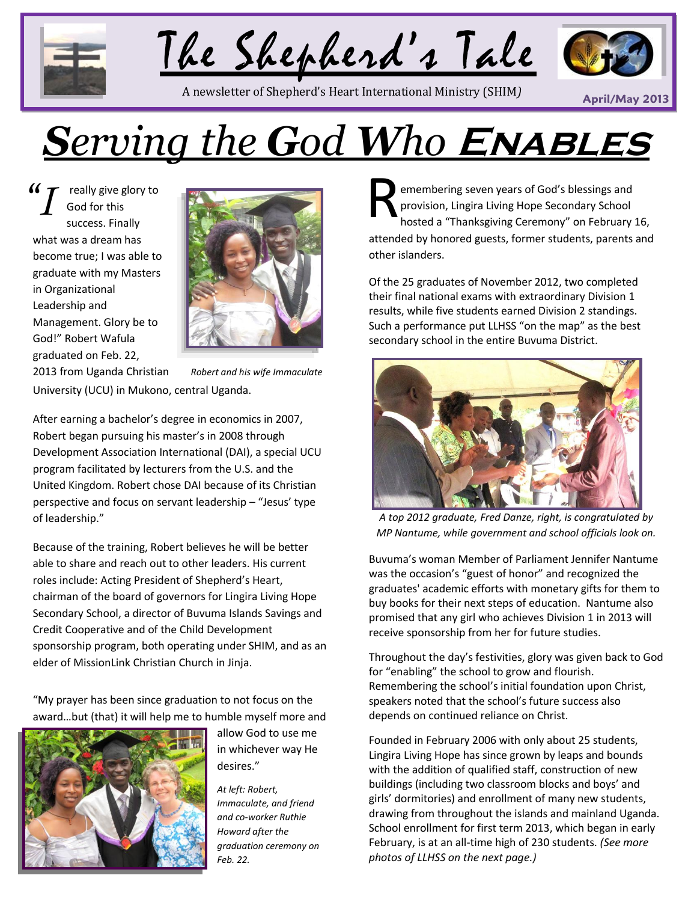



**April/May 2013** A newsletter of Shepherd's Heart International Ministry (SHIM*)*



# *Serving the God Who* **Enables**

really give glory to God for this success. Finally what was a dream has become true; I was able to graduate with my Masters in Organizational Leadership and Management. Glory be to God!" Robert Wafula graduated on Feb. 22,



2013 from Uganda Christian *Robert and his wife Immaculate* University (UCU) in Mukono, central Uganda.

After earning a bachelor's degree in economics in 2007, Robert began pursuing his master's in 2008 through Development Association International (DAI), a special UCU program facilitated by lecturers from the U.S. and the United Kingdom. Robert chose DAI because of its Christian perspective and focus on servant leadership – "Jesus' type of leadership."

Because of the training, Robert believes he will be better able to share and reach out to other leaders. His current roles include: Acting President of Shepherd's Heart, chairman of the board of governors for Lingira Living Hope Secondary School, a director of Buvuma Islands Savings and Credit Cooperative and of the Child Development sponsorship program, both operating under SHIM, and as an elder of MissionLink Christian Church in Jinja.

"My prayer has been since graduation to not focus on the award…but (that) it will help me to humble myself more and



allow God to use me in whichever way He desires."

*At left: Robert, Immaculate, and friend and co-worker Ruthie Howard after the graduation ceremony on Feb. 22.*

emembering seven years of God's blessings and provision, Lingira Living Hope Secondary School hosted a "Thanksgiving Ceremony" on February 16, attended by honored guests, former students, parents and other islanders.

Of the 25 graduates of November 2012, two completed their final national exams with extraordinary Division 1 results, while five students earned Division 2 standings. Such a performance put LLHSS "on the map" as the best secondary school in the entire Buvuma District.



*A top 2012 graduate, Fred Danze, right, is congratulated by MP Nantume, while government and school officials look on.*

Buvuma's woman Member of Parliament Jennifer Nantume was the occasion's "guest of honor" and recognized the graduates' academic efforts with monetary gifts for them to buy books for their next steps of education. Nantume also promised that any girl who achieves Division 1 in 2013 will receive sponsorship from her for future studies.

Throughout the day's festivities, glory was given back to God for "enabling" the school to grow and flourish. Remembering the school's initial foundation upon Christ, speakers noted that the school's future success also depends on continued reliance on Christ.

Founded in February 2006 with only about 25 students, Lingira Living Hope has since grown by leaps and bounds with the addition of qualified staff, construction of new buildings (including two classroom blocks and boys' and girls' dormitories) and enrollment of many new students, drawing from throughout the islands and mainland Uganda. School enrollment for first term 2013, which began in early February, is at an all-time high of 230 students. *(See more photos of LLHSS on the next page.)*